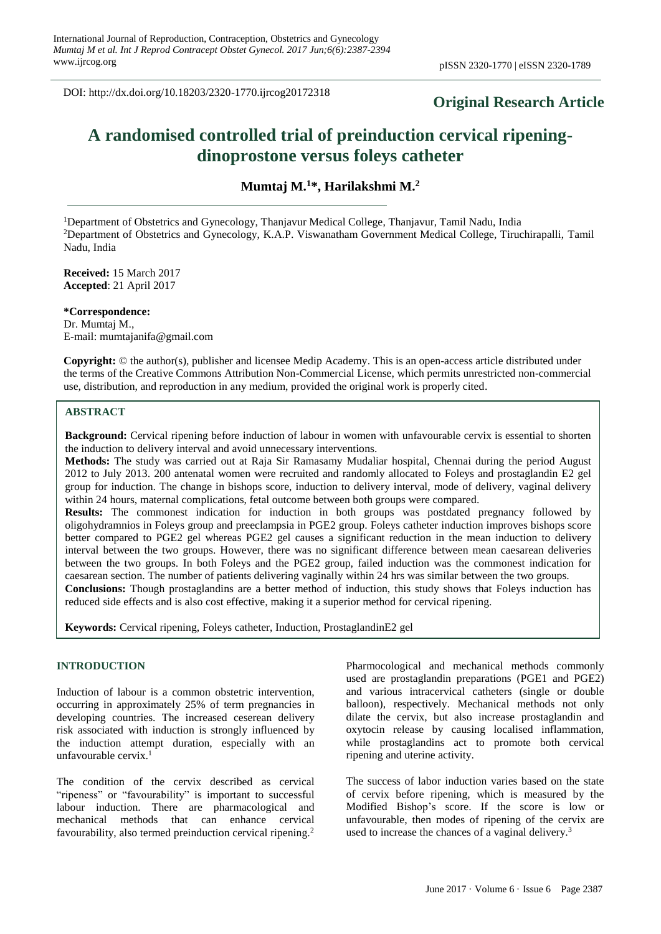DOI: http://dx.doi.org/10.18203/2320-1770.ijrcog20172318

# **Original Research Article**

# **A randomised controlled trial of preinduction cervical ripeningdinoprostone versus foleys catheter**

**Mumtaj M.<sup>1</sup>\*, Harilakshmi M.<sup>2</sup>**

<sup>1</sup>Department of Obstetrics and Gynecology, Thanjavur Medical College, Thanjavur, Tamil Nadu, India <sup>2</sup>Department of Obstetrics and Gynecology, K.A.P. Viswanatham Government Medical College, Tiruchirapalli, Tamil Nadu, India

**Received:** 15 March 2017 **Accepted**: 21 April 2017

**\*Correspondence:** Dr. Mumtaj M., E-mail: mumtajanifa@gmail.com

**Copyright:** © the author(s), publisher and licensee Medip Academy. This is an open-access article distributed under the terms of the Creative Commons Attribution Non-Commercial License, which permits unrestricted non-commercial use, distribution, and reproduction in any medium, provided the original work is properly cited.

# **ABSTRACT**

**Background:** Cervical ripening before induction of labour in women with unfavourable cervix is essential to shorten the induction to delivery interval and avoid unnecessary interventions.

**Methods:** The study was carried out at Raja Sir Ramasamy Mudaliar hospital, Chennai during the period August 2012 to July 2013. 200 antenatal women were recruited and randomly allocated to Foleys and prostaglandin E2 gel group for induction. The change in bishops score, induction to delivery interval, mode of delivery, vaginal delivery within 24 hours, maternal complications, fetal outcome between both groups were compared.

**Results:** The commonest indication for induction in both groups was postdated pregnancy followed by oligohydramnios in Foleys group and preeclampsia in PGE2 group. Foleys catheter induction improves bishops score better compared to PGE2 gel whereas PGE2 gel causes a significant reduction in the mean induction to delivery interval between the two groups. However, there was no significant difference between mean caesarean deliveries between the two groups. In both Foleys and the PGE2 group, failed induction was the commonest indication for caesarean section. The number of patients delivering vaginally within 24 hrs was similar between the two groups.

**Conclusions:** Though prostaglandins are a better method of induction, this study shows that Foleys induction has reduced side effects and is also cost effective, making it a superior method for cervical ripening.

**Keywords:** Cervical ripening, Foleys catheter, Induction, ProstaglandinE2 gel

#### **INTRODUCTION**

Induction of labour is a common obstetric intervention, occurring in approximately 25% of term pregnancies in developing countries. The increased ceserean delivery risk associated with induction is strongly influenced by the induction attempt duration, especially with an unfavourable cervix. $<sup>1</sup>$ </sup>

The condition of the cervix described as cervical "ripeness" or "favourability" is important to successful labour induction. There are pharmacological and mechanical methods that can enhance cervical favourability, also termed preinduction cervical ripening.<sup>2</sup>

Pharmocological and mechanical methods commonly used are prostaglandin preparations (PGE1 and PGE2) and various intracervical catheters (single or double balloon), respectively. Mechanical methods not only dilate the cervix, but also increase prostaglandin and oxytocin release by causing localised inflammation, while prostaglandins act to promote both cervical ripening and uterine activity.

The success of labor induction varies based on the state of cervix before ripening, which is measured by the Modified Bishop's score. If the score is low or unfavourable, then modes of ripening of the cervix are used to increase the chances of a vaginal delivery.<sup>3</sup>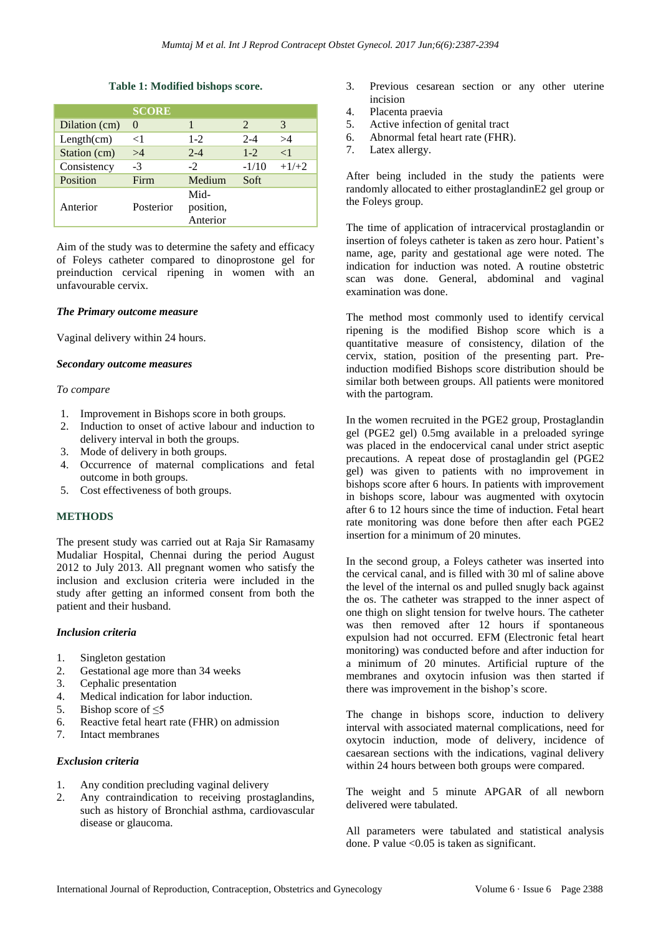#### **Table 1: Modified bishops score.**

|               | <b>SCORE</b> |                               |               |          |
|---------------|--------------|-------------------------------|---------------|----------|
| Dilation (cm) | $\Omega$     |                               | $\mathcal{L}$ | 3        |
| Length(cm)    | $<$ 1        | $1-2$                         | $2 - 4$       | >4       |
| Station (cm)  | >4           | $2 - 4$                       | $1 - 2$       | $\leq$ 1 |
| Consistency   | $-3$         | $-2$                          | $-1/10$       | $+1/+2$  |
| Position      | Firm         | Medium                        | Soft          |          |
| Anterior      | Posterior    | Mid-<br>position,<br>Anterior |               |          |

Aim of the study was to determine the safety and efficacy of Foleys catheter compared to dinoprostone gel for preinduction cervical ripening in women with an unfavourable cervix.

#### *The Primary outcome measure*

Vaginal delivery within 24 hours.

#### *Secondary outcome measures*

#### *To compare*

- 1. Improvement in Bishops score in both groups.
- 2. Induction to onset of active labour and induction to delivery interval in both the groups.
- 3. Mode of delivery in both groups.
- 4. Occurrence of maternal complications and fetal outcome in both groups.
- 5. Cost effectiveness of both groups.

# **METHODS**

The present study was carried out at Raja Sir Ramasamy Mudaliar Hospital, Chennai during the period August 2012 to July 2013. All pregnant women who satisfy the inclusion and exclusion criteria were included in the study after getting an informed consent from both the patient and their husband.

# *Inclusion criteria*

- 1. Singleton gestation
- 2. Gestational age more than 34 weeks
- 3. Cephalic presentation
- 4. Medical indication for labor induction.
- 5. Bishop score of  $\leq$ 5
- 6. Reactive fetal heart rate (FHR) on admission
- 7. Intact membranes

# *Exclusion criteria*

- 1. Any condition precluding vaginal delivery
- 2. Any contraindication to receiving prostaglandins, such as history of Bronchial asthma, cardiovascular disease or glaucoma.
- 3. Previous cesarean section or any other uterine incision
- 4. Placenta praevia
- 5. Active infection of genital tract
- 6. Abnormal fetal heart rate (FHR).
- 7. Latex allergy.

After being included in the study the patients were randomly allocated to either prostaglandinE2 gel group or the Foleys group.

The time of application of intracervical prostaglandin or insertion of foleys catheter is taken as zero hour. Patient's name, age, parity and gestational age were noted. The indication for induction was noted. A routine obstetric scan was done. General, abdominal and vaginal examination was done.

The method most commonly used to identify cervical ripening is the modified Bishop score which is a quantitative measure of consistency, dilation of the cervix, station, position of the presenting part. Preinduction modified Bishops score distribution should be similar both between groups. All patients were monitored with the partogram.

In the women recruited in the PGE2 group, Prostaglandin gel (PGE2 gel) 0.5mg available in a preloaded syringe was placed in the endocervical canal under strict aseptic precautions. A repeat dose of prostaglandin gel (PGE2 gel) was given to patients with no improvement in bishops score after 6 hours. In patients with improvement in bishops score, labour was augmented with oxytocin after 6 to 12 hours since the time of induction. Fetal heart rate monitoring was done before then after each PGE2 insertion for a minimum of 20 minutes.

In the second group, a Foleys catheter was inserted into the cervical canal, and is filled with 30 ml of saline above the level of the internal os and pulled snugly back against the os. The catheter was strapped to the inner aspect of one thigh on slight tension for twelve hours. The catheter was then removed after 12 hours if spontaneous expulsion had not occurred. EFM (Electronic fetal heart monitoring) was conducted before and after induction for a minimum of 20 minutes. Artificial rupture of the membranes and oxytocin infusion was then started if there was improvement in the bishop's score.

The change in bishops score, induction to delivery interval with associated maternal complications, need for oxytocin induction, mode of delivery, incidence of caesarean sections with the indications, vaginal delivery within 24 hours between both groups were compared.

The weight and 5 minute APGAR of all newborn delivered were tabulated.

All parameters were tabulated and statistical analysis done. P value  $\leq 0.05$  is taken as significant.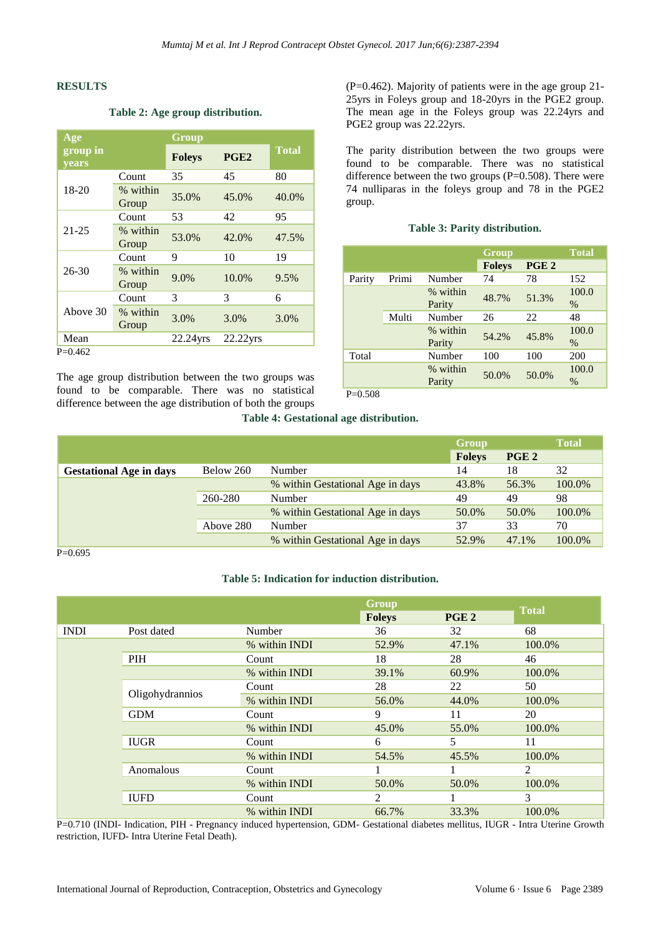#### **RESULTS**

# **Table 2: Age group distribution.**

| Age                      |                   | Group         |                  |              |
|--------------------------|-------------------|---------------|------------------|--------------|
| group in<br><b>years</b> |                   | <b>Foleys</b> | PGE <sub>2</sub> | <b>Total</b> |
|                          | Count             | 35            | 45               | 80           |
| $18-20$                  | % within<br>Group | 35.0%         | 45.0%            | 40.0%        |
|                          | Count             | 53            | 42               | 95           |
| $21 - 25$                | % within<br>Group | 53.0%         | 42.0%            | 47.5%        |
|                          | Count             | 9             | 10               | 19           |
| $26 - 30$                | % within<br>Group | 9.0%          | 10.0%            | 9.5%         |
|                          | Count             | 3             | 3                | 6            |
| Above 30                 | % within<br>Group | 3.0%          | 3.0%             | 3.0%         |
| Mean                     |                   | 22.24yrs      | 22.22yrs         |              |
| $P=0.462$                |                   |               |                  |              |

The age group distribution between the two groups was found to be comparable. There was no statistical difference between the age distribution of both the groups (P=0.462). Majority of patients were in the age group 21- 25yrs in Foleys group and 18-20yrs in the PGE2 group. The mean age in the Foleys group was 22.24yrs and PGE2 group was 22.22yrs.

The parity distribution between the two groups were found to be comparable. There was no statistical difference between the two groups  $(P=0.508)$ . There were 74 nulliparas in the foleys group and 78 in the PGE2 group.

#### **Table 3: Parity distribution.**

|        |       |                    | Group         |                  | <b>Total</b>  |
|--------|-------|--------------------|---------------|------------------|---------------|
|        |       |                    | <b>Foleys</b> | PGE <sub>2</sub> |               |
| Parity | Primi | Number             | 74            | 78               | 152           |
|        |       | % within<br>Parity | 48.7%         | 51.3%            | 100.0<br>$\%$ |
|        | Multi | Number             | 26            | 22               | 48            |
|        |       | % within<br>Parity | 54.2%         | 45.8%            | 100.0<br>$\%$ |
| Total  |       | Number             | 100           | 100              | 200           |
|        |       | % within<br>Parity | 50.0%         | 50.0%            | 100.0<br>$\%$ |

P=0.508

#### **Table 4: Gestational age distribution.**

|                                |           |                                  | Group         |                  | <b>Total</b> |
|--------------------------------|-----------|----------------------------------|---------------|------------------|--------------|
|                                |           |                                  | <b>Foleys</b> | PGE <sub>2</sub> |              |
| <b>Gestational Age in days</b> | Below 260 | <b>Number</b>                    | 14            | 18               | 32           |
|                                |           | % within Gestational Age in days | 43.8%         | 56.3%            | 100.0%       |
|                                | 260-280   | Number                           | 49            | 49               | 98           |
|                                |           | % within Gestational Age in days | 50.0%         | 50.0%            | 100.0%       |
|                                | Above 280 | Number                           | 37            | 33               | 70           |
|                                |           | % within Gestational Age in days | 52.9%         | 47.1%            | 100.0%       |

 $P=0.695$ 

#### **Table 5: Indication for induction distribution.**

|             |                 |               | <b>Foleys</b> | PGE <sub>2</sub> | <b>Total</b>   |
|-------------|-----------------|---------------|---------------|------------------|----------------|
| <b>INDI</b> | Post dated      | Number        | 36            | 32               | 68             |
|             |                 | % within INDI | 52.9%         | 47.1%            | 100.0%         |
|             | PIH             | Count         | 18            | 28               | 46             |
|             |                 | % within INDI | 39.1%         | 60.9%            | 100.0%         |
|             | Oligohydrannios | Count         | 28            | 22               | 50             |
|             |                 | % within INDI | 56.0%         | 44.0%            | 100.0%         |
|             | <b>GDM</b>      | Count         | 9             | 11               | 20             |
|             |                 | % within INDI | 45.0%         | 55.0%            | 100.0%         |
|             | <b>IUGR</b>     | Count         | 6             | 5                | 11             |
|             |                 | % within INDI | 54.5%         | 45.5%            | 100.0%         |
|             | Anomalous       | Count         |               |                  | $\overline{2}$ |
|             |                 | % within INDI | 50.0%         | 50.0%            | 100.0%         |
|             | <b>IUFD</b>     | Count         | 2             |                  | 3              |
|             |                 | % within INDI | 66.7%         | 33.3%            | 100.0%         |

P=0.710 (INDI- Indication, PIH - Pregnancy induced hypertension, GDM- Gestational diabetes mellitus, IUGR - Intra Uterine Growth restriction, IUFD- Intra Uterine Fetal Death).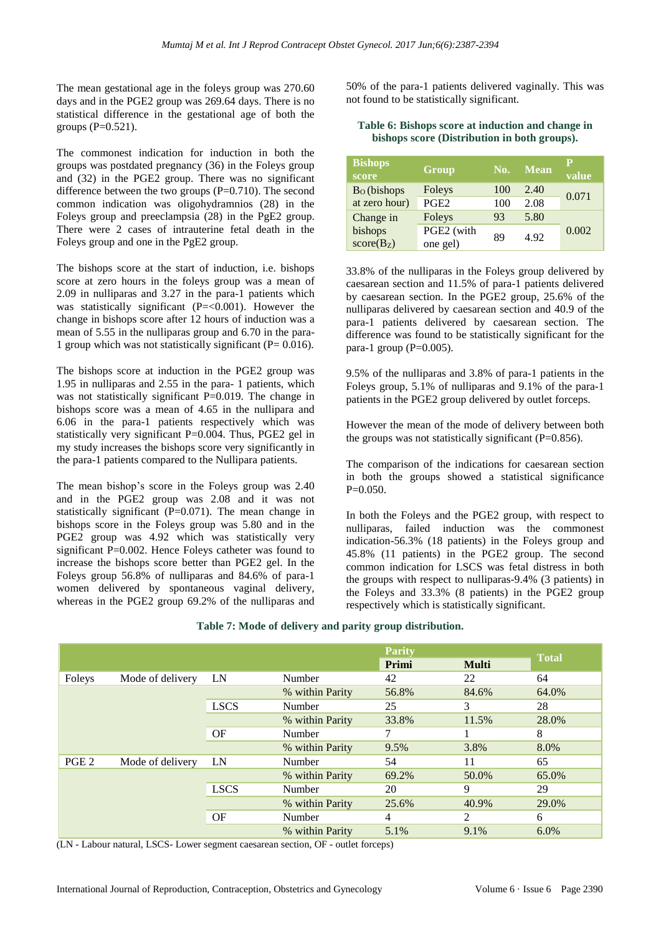The mean gestational age in the foleys group was 270.60 days and in the PGE2 group was 269.64 days. There is no statistical difference in the gestational age of both the groups  $(P=0.521)$ .

The commonest indication for induction in both the groups was postdated pregnancy (36) in the Foleys group and (32) in the PGE2 group. There was no significant difference between the two groups  $(P=0.710)$ . The second common indication was oligohydramnios (28) in the Foleys group and preeclampsia (28) in the PgE2 group. There were 2 cases of intrauterine fetal death in the Foleys group and one in the PgE2 group.

The bishops score at the start of induction, i.e. bishops score at zero hours in the foleys group was a mean of 2.09 in nulliparas and 3.27 in the para-1 patients which was statistically significant  $(P=<0.001)$ . However the change in bishops score after 12 hours of induction was a mean of 5.55 in the nulliparas group and 6.70 in the para-1 group which was not statistically significant ( $P= 0.016$ ).

The bishops score at induction in the PGE2 group was 1.95 in nulliparas and 2.55 in the para- 1 patients, which was not statistically significant P=0.019. The change in bishops score was a mean of 4.65 in the nullipara and 6.06 in the para-1 patients respectively which was statistically very significant P=0.004. Thus, PGE2 gel in my study increases the bishops score very significantly in the para-1 patients compared to the Nullipara patients.

The mean bishop's score in the Foleys group was 2.40 and in the PGE2 group was 2.08 and it was not statistically significant (P=0.071). The mean change in bishops score in the Foleys group was 5.80 and in the PGE2 group was 4.92 which was statistically very significant P=0.002. Hence Foleys catheter was found to increase the bishops score better than PGE2 gel. In the Foleys group 56.8% of nulliparas and 84.6% of para-1 women delivered by spontaneous vaginal delivery, whereas in the PGE2 group 69.2% of the nulliparas and 50% of the para-1 patients delivered vaginally. This was not found to be statistically significant.

#### **Table 6: Bishops score at induction and change in bishops score (Distribution in both groups).**

| <b>Bishops</b><br>score | Group            | No. | <b>Mean</b> | р<br>value |
|-------------------------|------------------|-----|-------------|------------|
| $BO$ (bishops           | Foleys           | 100 | 2.40        | 0.071      |
| at zero hour)           | PGE <sub>2</sub> | 100 | 2.08        |            |
| Change in               | Foleys           | 93  | 5.80        |            |
| bishops                 | PGE2 (with       | 89  | 4.92        | 0.002      |
| $score(B_Z)$            | one gel)         |     |             |            |

33.8% of the nulliparas in the Foleys group delivered by caesarean section and 11.5% of para-1 patients delivered by caesarean section. In the PGE2 group, 25.6% of the nulliparas delivered by caesarean section and 40.9 of the para-1 patients delivered by caesarean section. The difference was found to be statistically significant for the para-1 group  $(P=0.005)$ .

9.5% of the nulliparas and 3.8% of para-1 patients in the Foleys group, 5.1% of nulliparas and 9.1% of the para-1 patients in the PGE2 group delivered by outlet forceps.

However the mean of the mode of delivery between both the groups was not statistically significant  $(P=0.856)$ .

The comparison of the indications for caesarean section in both the groups showed a statistical significance  $P=0.050$ .

In both the Foleys and the PGE2 group, with respect to nulliparas, failed induction was the commonest indication-56.3% (18 patients) in the Foleys group and 45.8% (11 patients) in the PGE2 group. The second common indication for LSCS was fetal distress in both the groups with respect to nulliparas-9.4% (3 patients) in the Foleys and 33.3% (8 patients) in the PGE2 group respectively which is statistically significant.

|                  |                  |             |                 | <b>Parity</b> |              | <b>Total</b> |
|------------------|------------------|-------------|-----------------|---------------|--------------|--------------|
|                  |                  |             |                 | Primi         | <b>Multi</b> |              |
| Foleys           | Mode of delivery | LN          | Number          | 42            | 22           | 64           |
|                  |                  |             | % within Parity | 56.8%         | 84.6%        | 64.0%        |
|                  |                  | <b>LSCS</b> | Number          | 25            | 3            | 28           |
|                  |                  |             | % within Parity | 33.8%         | 11.5%        | 28.0%        |
|                  |                  | OF          | Number          | 7             |              | 8            |
|                  |                  |             | % within Parity | 9.5%          | 3.8%         | 8.0%         |
| PGE <sub>2</sub> | Mode of delivery | LN          | Number          | 54            | 11           | 65           |
|                  |                  |             | % within Parity | 69.2%         | 50.0%        | 65.0%        |
|                  |                  | <b>LSCS</b> | Number          | 20            | 9            | 29           |
|                  |                  |             | % within Parity | 25.6%         | 40.9%        | 29.0%        |
|                  |                  | OF          | Number          | 4             | 2            | 6            |
|                  |                  |             | % within Parity | 5.1%          | 9.1%         | 6.0%         |

**Table 7: Mode of delivery and parity group distribution.**

(LN - Labour natural, LSCS- Lower segment caesarean section, OF - outlet forceps)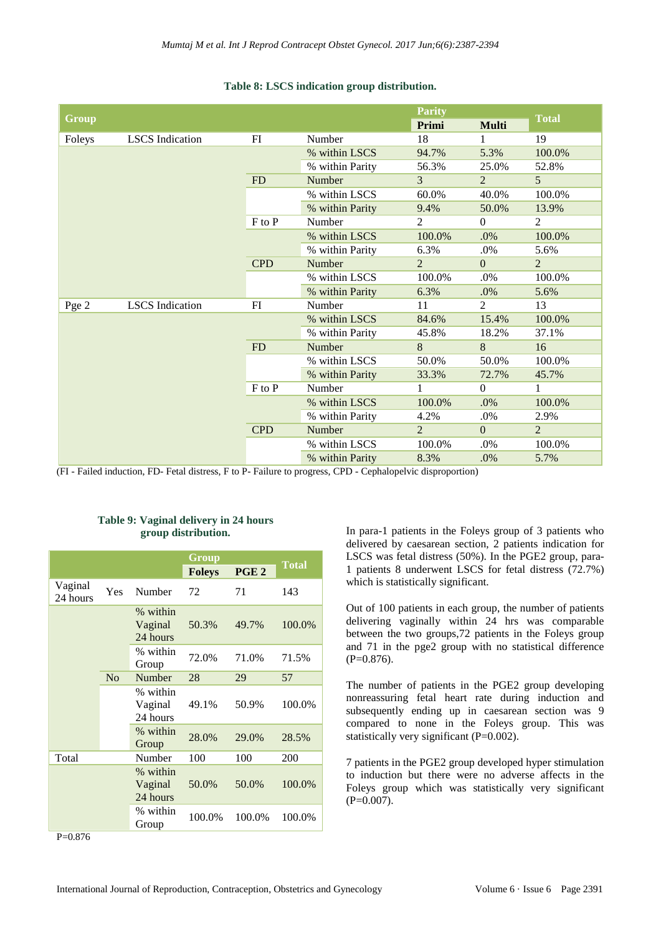| <b>Group</b> |                        |            |                 | <b>Parity</b><br>Primi | <b>Multi</b>   | <b>Total</b>   |
|--------------|------------------------|------------|-----------------|------------------------|----------------|----------------|
| Foleys       | <b>LSCS</b> Indication | FI         | Number          | 18                     | 1              | 19             |
|              |                        |            | % within LSCS   |                        | 5.3%           |                |
|              |                        |            |                 | 94.7%                  |                | 100.0%         |
|              |                        |            | % within Parity | 56.3%                  | 25.0%          | 52.8%          |
|              |                        | FD         | Number          | $\mathcal{E}$          | $\overline{2}$ | $\overline{5}$ |
|              |                        |            | % within LSCS   | 60.0%                  | 40.0%          | 100.0%         |
|              |                        |            | % within Parity | 9.4%                   | 50.0%          | 13.9%          |
|              |                        | $F$ to $P$ | Number          | 2                      | $\Omega$       | 2              |
|              |                        |            | % within LSCS   | 100.0%                 | .0%            | 100.0%         |
|              |                        |            | % within Parity | 6.3%                   | .0%            | 5.6%           |
|              |                        | <b>CPD</b> | Number          | $\overline{2}$         | $\Omega$       | $\overline{2}$ |
|              |                        |            | % within LSCS   | 100.0%                 | .0%            | 100.0%         |
|              |                        |            | % within Parity | 6.3%                   | .0%            | 5.6%           |
| Pge 2        | <b>LSCS</b> Indication | FI         | Number          | 11                     | $\overline{2}$ | 13             |
|              |                        |            | % within LSCS   | 84.6%                  | 15.4%          | 100.0%         |
|              |                        |            | % within Parity | 45.8%                  | 18.2%          | 37.1%          |
|              |                        | FD         | Number          | 8                      | 8              | 16             |
|              |                        |            | % within LSCS   | 50.0%                  | 50.0%          | 100.0%         |
|              |                        |            | % within Parity | 33.3%                  | 72.7%          | 45.7%          |
|              |                        | F to P     | Number          | $\mathbf{1}$           | $\Omega$       | 1              |
|              |                        |            | % within LSCS   | 100.0%                 | .0%            | 100.0%         |
|              |                        |            | % within Parity | 4.2%                   | .0%            | 2.9%           |
|              |                        | <b>CPD</b> | Number          | $\overline{2}$         | $\Omega$       | $\overline{2}$ |
|              |                        |            | % within LSCS   | 100.0%                 | .0%            | 100.0%         |
|              |                        |            | % within Parity | 8.3%                   | .0%            | 5.7%           |

# **Table 8: LSCS indication group distribution.**

(FI - Failed induction, FD- Fetal distress, F to P- Failure to progress, CPD - Cephalopelvic disproportion)

# **Group Total Foleys PGE <sup>2</sup>** Vaginal vagniai Yes Number 72 71 143 % within Vaginal 24 hours 50.3% 49.7% 100.0% % within % within 72.0% 71.0% 71.5% No Number 28 29 57 % within Vaginal 24 hours 49.1% 50.9% 100.0% % within Group 28.0% 29.0% 28.5% Total Number 100 100 200 % within Vaginal 24 hours 50.0% 50.0% 100.0% % within Group 100.0% 100.0% 100.0%

**Table 9: Vaginal delivery in 24 hours group distribution.**

In para-1 patients in the Foleys group of 3 patients who delivered by caesarean section, 2 patients indication for LSCS was fetal distress (50%). In the PGE2 group, para-1 patients 8 underwent LSCS for fetal distress (72.7%) which is statistically significant.

Out of 100 patients in each group, the number of patients delivering vaginally within 24 hrs was comparable between the two groups,72 patients in the Foleys group and 71 in the pge2 group with no statistical difference (P=0.876).

The number of patients in the PGE2 group developing nonreassuring fetal heart rate during induction and subsequently ending up in caesarean section was 9 compared to none in the Foleys group. This was statistically very significant (P=0.002).

7 patients in the PGE2 group developed hyper stimulation to induction but there were no adverse affects in the Foleys group which was statistically very significant  $(P=0.007)$ .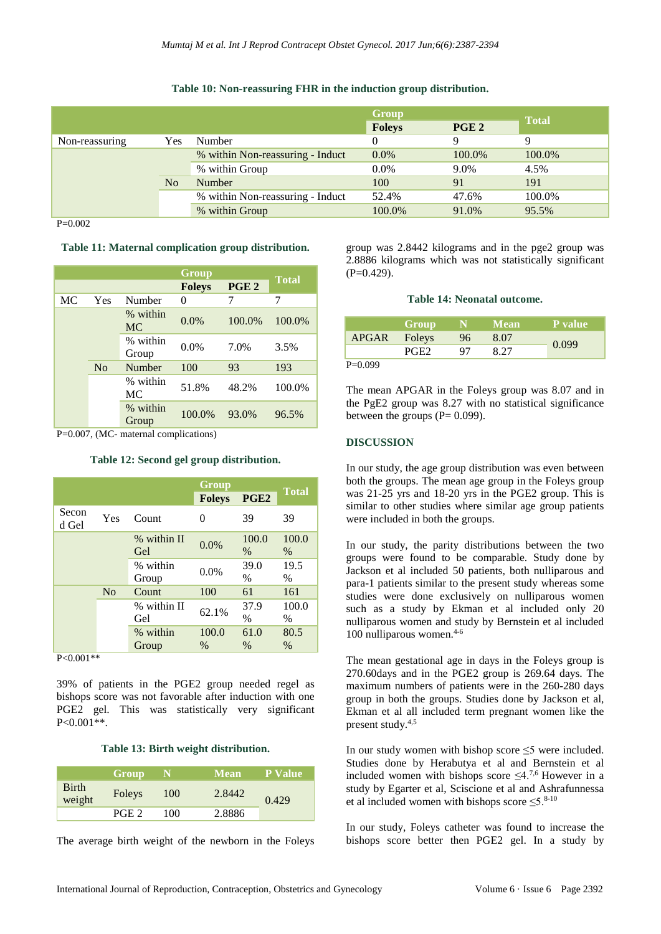|  |  | Table 10: Non-reassuring FHR in the induction group distribution. |  |  |  |  |  |  |
|--|--|-------------------------------------------------------------------|--|--|--|--|--|--|
|--|--|-------------------------------------------------------------------|--|--|--|--|--|--|

|                |     |                                  | Group         |                  |              |
|----------------|-----|----------------------------------|---------------|------------------|--------------|
|                |     |                                  | <b>Foleys</b> | PGE <sub>2</sub> | <b>Total</b> |
| Non-reassuring | Yes | Number                           |               | Q                | 9            |
|                |     | % within Non-reassuring - Induct | $0.0\%$       | 100.0%           | 100.0%       |
|                |     | % within Group                   | $0.0\%$       | 9.0%             | 4.5%         |
|                | No  | Number                           | 100           | 91               | 191          |
|                |     | % within Non-reassuring - Induct | 52.4%         | 47.6%            | 100.0%       |
|                |     | % within Group                   | 100.0%        | 91.0%            | 95.5%        |

P=0.002

**Table 11: Maternal complication group distribution.**

|    |                |                   |                                   | <b>Total</b> |        |
|----|----------------|-------------------|-----------------------------------|--------------|--------|
|    |                |                   | PGE <sub>2</sub><br><b>Foleys</b> |              |        |
| MC | Yes            | Number            | 0                                 | 7            | 7      |
|    |                | % within<br>MC    | 0.0%                              | 100.0%       | 100.0% |
|    |                | % within<br>Group | $0.0\%$                           | 7.0%         | 3.5%   |
|    | N <sub>o</sub> | Number            | 100                               | 93           | 193    |
|    |                | % within<br>МC    | 51.8%                             | 48.2%        | 100.0% |
|    |                | % within<br>Group | 100.0%                            | 93.0%        | 96.5%  |

P=0.007, (MC- maternal complications)

**Table 12: Second gel group distribution.**

|                |                |                    | Group         |                  |               |
|----------------|----------------|--------------------|---------------|------------------|---------------|
|                |                |                    | <b>Foleys</b> | PGE <sub>2</sub> | <b>Total</b>  |
| Secon<br>d Gel | Yes            | Count              | 0             | 39               | 39            |
|                |                | % within II<br>Gel | 0.0%          | 100.0<br>$\%$    | 100.0<br>$\%$ |
|                |                | % within<br>Group  | 0.0%          | 39.0<br>$\%$     | 19.5<br>$\%$  |
|                | N <sub>o</sub> | Count              | 100           | 61               | 161           |
|                |                | % within II        | 62.1%         | 37.9             | 100.0         |
|                |                | Gel                |               | $\frac{0}{0}$    | $\%$          |
|                |                | % within           | 100.0         | 61.0             | 80.5          |
|                |                | Group              | $\%$          | $\%$             | $\%$          |

 $P < 0.001**$ 

39% of patients in the PGE2 group needed regel as bishops score was not favorable after induction with one PGE2 gel. This was statistically very significant P<0.001\*\*.

**Table 13: Birth weight distribution.**

|                        | Group  |     | <b>Mean</b> | <b><i>LP Value</i></b> |
|------------------------|--------|-----|-------------|------------------------|
| <b>Birth</b><br>weight | Foleys | 100 | 2.8442      | 0.429                  |
|                        | PGE 2  | 100 | 2.8886      |                        |

The average birth weight of the newborn in the Foleys

group was 2.8442 kilograms and in the pge2 group was 2.8886 kilograms which was not statistically significant  $(P=0.429)$ .

#### **Table 14: Neonatal outcome.**

|              | Group            |    | <b>Mean</b> | P value |
|--------------|------------------|----|-------------|---------|
| APGAR Foleys |                  | 96 | 8.07        | 0.099   |
|              | PGE <sub>2</sub> | 97 | 8.27        |         |
| D A AAA      |                  |    |             |         |

 $P=0.099$ 

The mean APGAR in the Foleys group was 8.07 and in the PgE2 group was 8.27 with no statistical significance between the groups  $(P= 0.099)$ .

# **DISCUSSION**

In our study, the age group distribution was even between both the groups. The mean age group in the Foleys group was 21-25 yrs and 18-20 yrs in the PGE2 group. This is similar to other studies where similar age group patients were included in both the groups.

In our study, the parity distributions between the two groups were found to be comparable. Study done by Jackson et al included 50 patients, both nulliparous and para-1 patients similar to the present study whereas some studies were done exclusively on nulliparous women such as a study by Ekman et al included only 20 nulliparous women and study by Bernstein et al included 100 nulliparous women.<sup>4-6</sup>

The mean gestational age in days in the Foleys group is 270.60days and in the PGE2 group is 269.64 days. The maximum numbers of patients were in the 260-280 days group in both the groups. Studies done by Jackson et al, Ekman et al all included term pregnant women like the present study.4,5

In our study women with bishop score  $\leq$ 5 were included. Studies done by Herabutya et al and Bernstein et al included women with bishops score  $\leq 4^{7,6}$  However in a study by Egarter et al, Sciscione et al and Ashrafunnessa et al included women with bishops score  $\leq 5.^{8 \cdot 10}$ 

In our study, Foleys catheter was found to increase the bishops score better then PGE2 gel. In a study by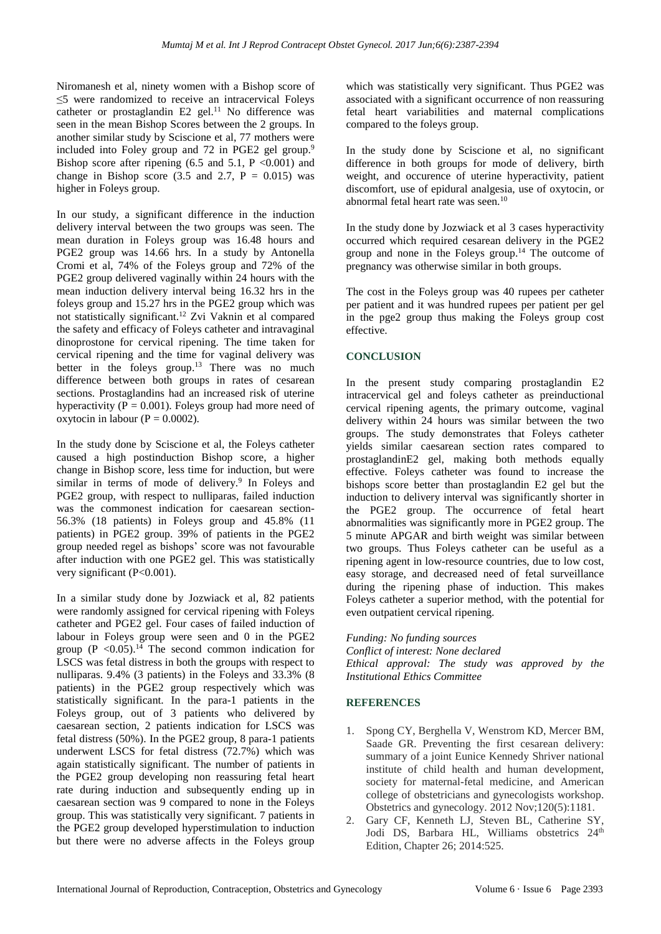Niromanesh et al, ninety women with a Bishop score of ≤5 were randomized to receive an intracervical Foleys catheter or prostaglandin E2 gel.<sup>11</sup> No difference was seen in the mean Bishop Scores between the 2 groups. In another similar study by Sciscione et al, 77 mothers were included into Foley group and 72 in PGE2 gel group.<sup>9</sup> Bishop score after ripening  $(6.5 \text{ and } 5.1, \text{ P } <0.001)$  and change in Bishop score  $(3.5 \text{ and } 2.7, P = 0.015)$  was higher in Foleys group.

In our study, a significant difference in the induction delivery interval between the two groups was seen. The mean duration in Foleys group was 16.48 hours and PGE2 group was 14.66 hrs. In a study by Antonella Cromi et al, 74% of the Foleys group and 72% of the PGE2 group delivered vaginally within 24 hours with the mean induction delivery interval being 16.32 hrs in the foleys group and 15.27 hrs in the PGE2 group which was not statistically significant.<sup>12</sup> Zvi Vaknin et al compared the safety and efficacy of Foleys catheter and intravaginal dinoprostone for cervical ripening. The time taken for cervical ripening and the time for vaginal delivery was better in the foleys group.<sup>13</sup> There was no much difference between both groups in rates of cesarean sections. Prostaglandins had an increased risk of uterine hyperactivity ( $\overline{P} = 0.001$ ). Foleys group had more need of oxytocin in labour ( $P = 0.0002$ ).

In the study done by Sciscione et al, the Foleys catheter caused a high postinduction Bishop score, a higher change in Bishop score, less time for induction, but were similar in terms of mode of delivery.<sup>9</sup> In Foleys and PGE2 group, with respect to nulliparas, failed induction was the commonest indication for caesarean section-56.3% (18 patients) in Foleys group and 45.8% (11 patients) in PGE2 group. 39% of patients in the PGE2 group needed regel as bishops' score was not favourable after induction with one PGE2 gel. This was statistically very significant (P<0.001).

In a similar study done by Jozwiack et al, 82 patients were randomly assigned for cervical ripening with Foleys catheter and PGE2 gel. Four cases of failed induction of labour in Foleys group were seen and 0 in the PGE2 group  $(P \le 0.05)$ .<sup>14</sup> The second common indication for LSCS was fetal distress in both the groups with respect to nulliparas. 9.4% (3 patients) in the Foleys and 33.3% (8 patients) in the PGE2 group respectively which was statistically significant. In the para-1 patients in the Foleys group, out of 3 patients who delivered by caesarean section, 2 patients indication for LSCS was fetal distress (50%). In the PGE2 group, 8 para-1 patients underwent LSCS for fetal distress (72.7%) which was again statistically significant. The number of patients in the PGE2 group developing non reassuring fetal heart rate during induction and subsequently ending up in caesarean section was 9 compared to none in the Foleys group. This was statistically very significant. 7 patients in the PGE2 group developed hyperstimulation to induction but there were no adverse affects in the Foleys group which was statistically very significant. Thus PGE2 was associated with a significant occurrence of non reassuring fetal heart variabilities and maternal complications compared to the foleys group.

In the study done by Sciscione et al, no significant difference in both groups for mode of delivery, birth weight, and occurence of uterine hyperactivity, patient discomfort, use of epidural analgesia, use of oxytocin, or abnormal fetal heart rate was seen.<sup>10</sup>

In the study done by Jozwiack et al 3 cases hyperactivity occurred which required cesarean delivery in the PGE2 group and none in the Foleys group.<sup>14</sup> The outcome of pregnancy was otherwise similar in both groups.

The cost in the Foleys group was 40 rupees per catheter per patient and it was hundred rupees per patient per gel in the pge2 group thus making the Foleys group cost effective.

# **CONCLUSION**

In the present study comparing prostaglandin E2 intracervical gel and foleys catheter as preinductional cervical ripening agents, the primary outcome, vaginal delivery within 24 hours was similar between the two groups. The study demonstrates that Foleys catheter yields similar caesarean section rates compared to prostaglandinE2 gel, making both methods equally effective. Foleys catheter was found to increase the bishops score better than prostaglandin E2 gel but the induction to delivery interval was significantly shorter in the PGE2 group. The occurrence of fetal heart abnormalities was significantly more in PGE2 group. The 5 minute APGAR and birth weight was similar between two groups. Thus Foleys catheter can be useful as a ripening agent in low-resource countries, due to low cost, easy storage, and decreased need of fetal surveillance during the ripening phase of induction. This makes Foleys catheter a superior method, with the potential for even outpatient cervical ripening.

*Funding: No funding sources Conflict of interest: None declared Ethical approval: The study was approved by the Institutional Ethics Committee*

# **REFERENCES**

- 1. Spong CY, Berghella V, Wenstrom KD, Mercer BM, Saade GR. Preventing the first cesarean delivery: summary of a joint Eunice Kennedy Shriver national institute of child health and human development, society for maternal-fetal medicine, and American college of obstetricians and gynecologists workshop. Obstetrics and gynecology. 2012 Nov;120(5):1181.
- 2. Gary CF, Kenneth LJ, Steven BL, Catherine SY, Jodi DS, Barbara HL, Williams obstetrics 24<sup>th</sup> Edition, Chapter 26; 2014:525.